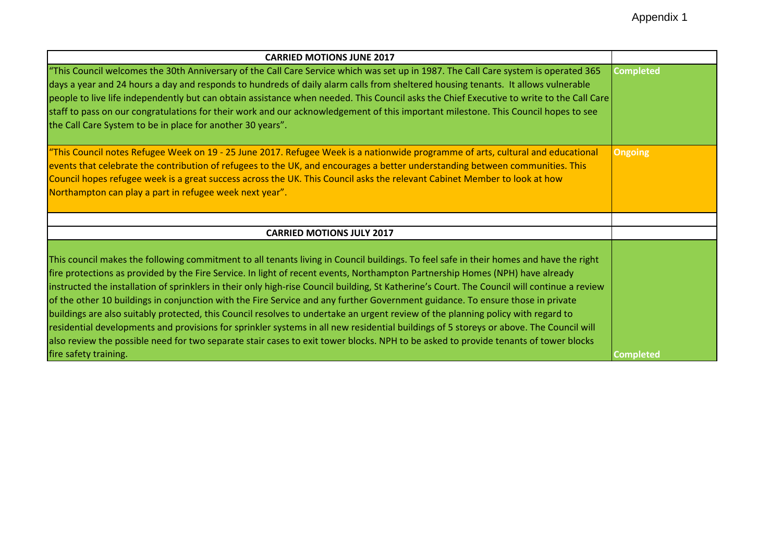| <b>CARRIED MOTIONS JUNE 2017</b>                                                                                                                                                                                                                                                                                                                                                                                                                                                                                                                                                                                                                                                                                                                                                                                                                                                                                                                                               |                  |
|--------------------------------------------------------------------------------------------------------------------------------------------------------------------------------------------------------------------------------------------------------------------------------------------------------------------------------------------------------------------------------------------------------------------------------------------------------------------------------------------------------------------------------------------------------------------------------------------------------------------------------------------------------------------------------------------------------------------------------------------------------------------------------------------------------------------------------------------------------------------------------------------------------------------------------------------------------------------------------|------------------|
| "This Council welcomes the 30th Anniversary of the Call Care Service which was set up in 1987. The Call Care system is operated 365<br>days a year and 24 hours a day and responds to hundreds of daily alarm calls from sheltered housing tenants. It allows vulnerable<br>people to live life independently but can obtain assistance when needed. This Council asks the Chief Executive to write to the Call Care<br>staff to pass on our congratulations for their work and our acknowledgement of this important milestone. This Council hopes to see<br>the Call Care System to be in place for another 30 years".                                                                                                                                                                                                                                                                                                                                                       | <b>Completed</b> |
| "This Council notes Refugee Week on 19 - 25 June 2017. Refugee Week is a nationwide programme of arts, cultural and educational<br>events that celebrate the contribution of refugees to the UK, and encourages a better understanding between communities. This<br>Council hopes refugee week is a great success across the UK. This Council asks the relevant Cabinet Member to look at how<br>Northampton can play a part in refugee week next year".                                                                                                                                                                                                                                                                                                                                                                                                                                                                                                                       | <b>Ongoing</b>   |
| <b>CARRIED MOTIONS JULY 2017</b>                                                                                                                                                                                                                                                                                                                                                                                                                                                                                                                                                                                                                                                                                                                                                                                                                                                                                                                                               |                  |
| This council makes the following commitment to all tenants living in Council buildings. To feel safe in their homes and have the right<br>fire protections as provided by the Fire Service. In light of recent events, Northampton Partnership Homes (NPH) have already<br>instructed the installation of sprinklers in their only high-rise Council building, St Katherine's Court. The Council will continue a review<br>of the other 10 buildings in conjunction with the Fire Service and any further Government guidance. To ensure those in private<br>buildings are also suitably protected, this Council resolves to undertake an urgent review of the planning policy with regard to<br>residential developments and provisions for sprinkler systems in all new residential buildings of 5 storeys or above. The Council will<br>also review the possible need for two separate stair cases to exit tower blocks. NPH to be asked to provide tenants of tower blocks |                  |
| fire safety training.                                                                                                                                                                                                                                                                                                                                                                                                                                                                                                                                                                                                                                                                                                                                                                                                                                                                                                                                                          | <b>Completed</b> |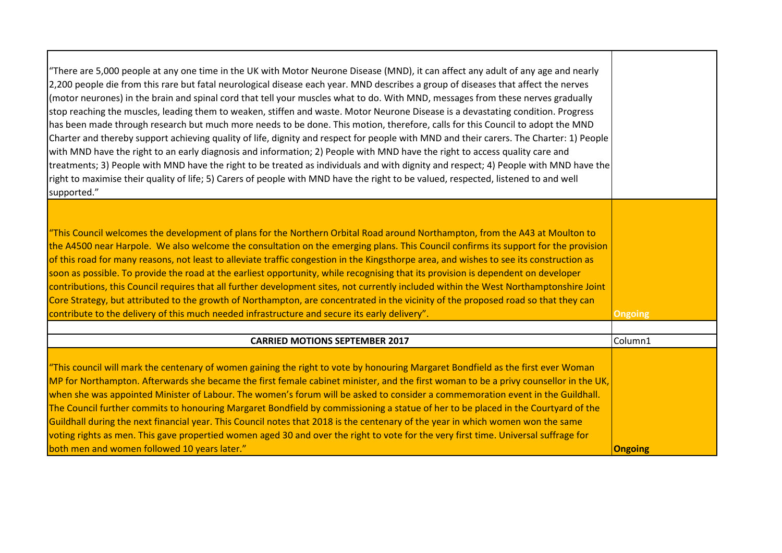| "There are 5,000 people at any one time in the UK with Motor Neurone Disease (MND), it can affect any adult of any age and nearly<br>2,200 people die from this rare but fatal neurological disease each year. MND describes a group of diseases that affect the nerves<br>(motor neurones) in the brain and spinal cord that tell your muscles what to do. With MND, messages from these nerves gradually<br>stop reaching the muscles, leading them to weaken, stiffen and waste. Motor Neurone Disease is a devastating condition. Progress<br>has been made through research but much more needs to be done. This motion, therefore, calls for this Council to adopt the MND<br>Charter and thereby support achieving quality of life, dignity and respect for people with MND and their carers. The Charter: 1) People<br>with MND have the right to an early diagnosis and information; 2) People with MND have the right to access quality care and<br>treatments; 3) People with MND have the right to be treated as individuals and with dignity and respect; 4) People with MND have the<br>right to maximise their quality of life; 5) Carers of people with MND have the right to be valued, respected, listened to and well<br>supported." |                |
|---------------------------------------------------------------------------------------------------------------------------------------------------------------------------------------------------------------------------------------------------------------------------------------------------------------------------------------------------------------------------------------------------------------------------------------------------------------------------------------------------------------------------------------------------------------------------------------------------------------------------------------------------------------------------------------------------------------------------------------------------------------------------------------------------------------------------------------------------------------------------------------------------------------------------------------------------------------------------------------------------------------------------------------------------------------------------------------------------------------------------------------------------------------------------------------------------------------------------------------------------------|----------------|
| "This Council welcomes the development of plans for the Northern Orbital Road around Northampton, from the A43 at Moulton to<br>the A4500 near Harpole. We also welcome the consultation on the emerging plans. This Council confirms its support for the provision<br>of this road for many reasons, not least to alleviate traffic congestion in the Kingsthorpe area, and wishes to see its construction as<br>soon as possible. To provide the road at the earliest opportunity, while recognising that its provision is dependent on developer<br>contributions, this Council requires that all further development sites, not currently included within the West Northamptonshire Joint<br>Core Strategy, but attributed to the growth of Northampton, are concentrated in the vicinity of the proposed road so that they can<br>contribute to the delivery of this much needed infrastructure and secure its early delivery".                                                                                                                                                                                                                                                                                                                    | <b>Ongoing</b> |
| <b>CARRIED MOTIONS SEPTEMBER 2017</b>                                                                                                                                                                                                                                                                                                                                                                                                                                                                                                                                                                                                                                                                                                                                                                                                                                                                                                                                                                                                                                                                                                                                                                                                                   | Column1        |
| "This council will mark the centenary of women gaining the right to vote by honouring Margaret Bondfield as the first ever Woman<br>MP for Northampton. Afterwards she became the first female cabinet minister, and the first woman to be a privy counsellor in the UK,<br>when she was appointed Minister of Labour. The women's forum will be asked to consider a commemoration event in the Guildhall.<br>The Council further commits to honouring Margaret Bondfield by commissioning a statue of her to be placed in the Courtyard of the<br>Guildhall during the next financial year. This Council notes that 2018 is the centenary of the year in which women won the same<br>voting rights as men. This gave propertied women aged 30 and over the right to vote for the very first time. Universal suffrage for<br>both men and women followed 10 years later."                                                                                                                                                                                                                                                                                                                                                                               | Ongoing        |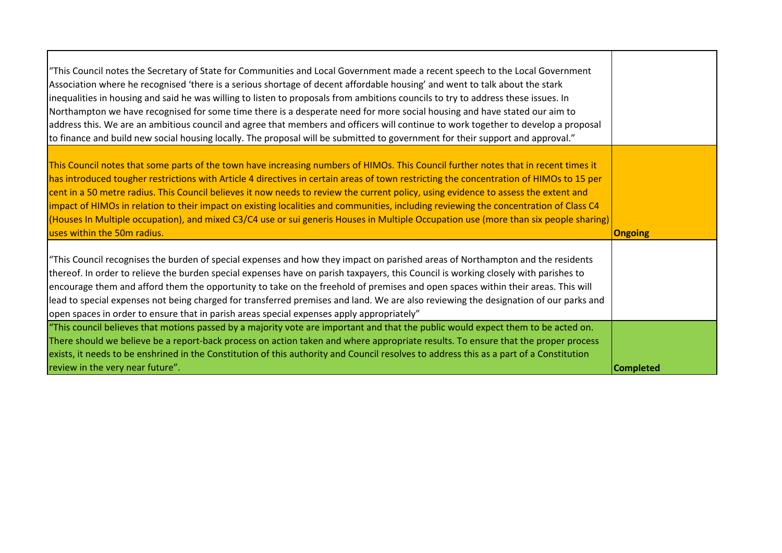| "This Council notes the Secretary of State for Communities and Local Government made a recent speech to the Local Government<br>Association where he recognised 'there is a serious shortage of decent affordable housing' and went to talk about the stark<br>inequalities in housing and said he was willing to listen to proposals from ambitions councils to try to address these issues. In<br>Northampton we have recognised for some time there is a desperate need for more social housing and have stated our aim to<br>address this. We are an ambitious council and agree that members and officers will continue to work together to develop a proposal<br>to finance and build new social housing locally. The proposal will be submitted to government for their support and approval." |                  |
|-------------------------------------------------------------------------------------------------------------------------------------------------------------------------------------------------------------------------------------------------------------------------------------------------------------------------------------------------------------------------------------------------------------------------------------------------------------------------------------------------------------------------------------------------------------------------------------------------------------------------------------------------------------------------------------------------------------------------------------------------------------------------------------------------------|------------------|
| This Council notes that some parts of the town have increasing numbers of HIMOs. This Council further notes that in recent times it<br>has introduced tougher restrictions with Article 4 directives in certain areas of town restricting the concentration of HIMOs to 15 per<br>cent in a 50 metre radius. This Council believes it now needs to review the current policy, using evidence to assess the extent and<br>impact of HIMOs in relation to their impact on existing localities and communities, including reviewing the concentration of Class C4<br>(Houses In Multiple occupation), and mixed C3/C4 use or sui generis Houses in Multiple Occupation use (more than six people sharing)<br>uses within the 50m radius.                                                                 | <b>Ongoing</b>   |
| "This Council recognises the burden of special expenses and how they impact on parished areas of Northampton and the residents<br>thereof. In order to relieve the burden special expenses have on parish taxpayers, this Council is working closely with parishes to<br>encourage them and afford them the opportunity to take on the freehold of premises and open spaces within their areas. This will<br>lead to special expenses not being charged for transferred premises and land. We are also reviewing the designation of our parks and<br>open spaces in order to ensure that in parish areas special expenses apply appropriately"                                                                                                                                                        |                  |
| "This council believes that motions passed by a majority vote are important and that the public would expect them to be acted on.<br>There should we believe be a report-back process on action taken and where appropriate results. To ensure that the proper process<br>exists, it needs to be enshrined in the Constitution of this authority and Council resolves to address this as a part of a Constitution<br>review in the very near future".                                                                                                                                                                                                                                                                                                                                                 | <b>Completed</b> |

т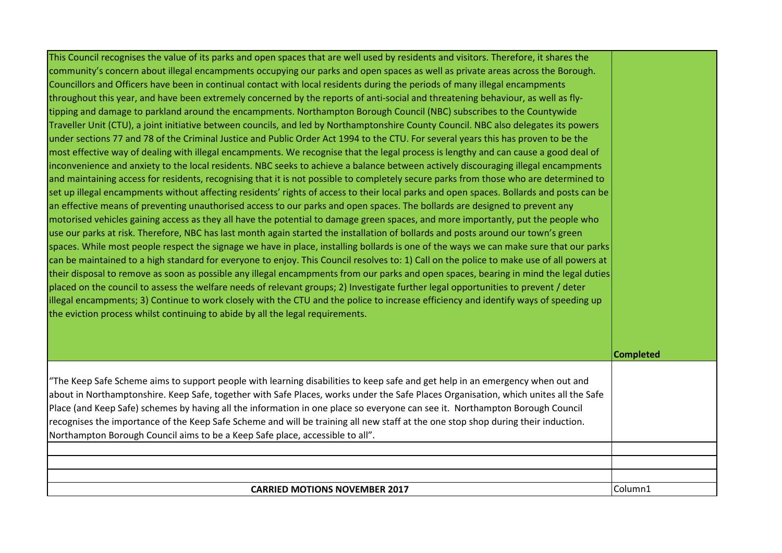| This Council recognises the value of its parks and open spaces that are well used by residents and visitors. Therefore, it shares the    |                  |
|------------------------------------------------------------------------------------------------------------------------------------------|------------------|
| community's concern about illegal encampments occupying our parks and open spaces as well as private areas across the Borough.           |                  |
| Councillors and Officers have been in continual contact with local residents during the periods of many illegal encampments              |                  |
| throughout this year, and have been extremely concerned by the reports of anti-social and threatening behaviour, as well as fly-         |                  |
| tipping and damage to parkland around the encampments. Northampton Borough Council (NBC) subscribes to the Countywide                    |                  |
| Traveller Unit (CTU), a joint initiative between councils, and led by Northamptonshire County Council. NBC also delegates its powers     |                  |
| under sections 77 and 78 of the Criminal Justice and Public Order Act 1994 to the CTU. For several years this has proven to be the       |                  |
| most effective way of dealing with illegal encampments. We recognise that the legal process is lengthy and can cause a good deal of      |                  |
| inconvenience and anxiety to the local residents. NBC seeks to achieve a balance between actively discouraging illegal encampments       |                  |
| and maintaining access for residents, recognising that it is not possible to completely secure parks from those who are determined to    |                  |
| set up illegal encampments without affecting residents' rights of access to their local parks and open spaces. Bollards and posts can be |                  |
| an effective means of preventing unauthorised access to our parks and open spaces. The bollards are designed to prevent any              |                  |
| motorised vehicles gaining access as they all have the potential to damage green spaces, and more importantly, put the people who        |                  |
| use our parks at risk. Therefore, NBC has last month again started the installation of bollards and posts around our town's green        |                  |
| spaces. While most people respect the signage we have in place, installing bollards is one of the ways we can make sure that our parks   |                  |
| can be maintained to a high standard for everyone to enjoy. This Council resolves to: 1) Call on the police to make use of all powers at |                  |
| their disposal to remove as soon as possible any illegal encampments from our parks and open spaces, bearing in mind the legal duties    |                  |
| placed on the council to assess the welfare needs of relevant groups; 2) Investigate further legal opportunities to prevent / deter      |                  |
| illegal encampments; 3) Continue to work closely with the CTU and the police to increase efficiency and identify ways of speeding up     |                  |
| the eviction process whilst continuing to abide by all the legal requirements.                                                           |                  |
|                                                                                                                                          |                  |
|                                                                                                                                          | <b>Completed</b> |
| "The Keep Safe Scheme aims to support people with learning disabilities to keep safe and get help in an emergency when out and           |                  |
| about in Northamptonshire. Keep Safe, together with Safe Places, works under the Safe Places Organisation, which unites all the Safe     |                  |
| Place (and Keep Safe) schemes by having all the information in one place so everyone can see it. Northampton Borough Council             |                  |
| recognises the importance of the Keep Safe Scheme and will be training all new staff at the one stop shop during their induction.        |                  |
| Northampton Borough Council aims to be a Keep Safe place, accessible to all".                                                            |                  |
|                                                                                                                                          |                  |
|                                                                                                                                          |                  |
|                                                                                                                                          |                  |
| <b>CARRIED MOTIONS NOVEMBER 2017</b>                                                                                                     | Column1          |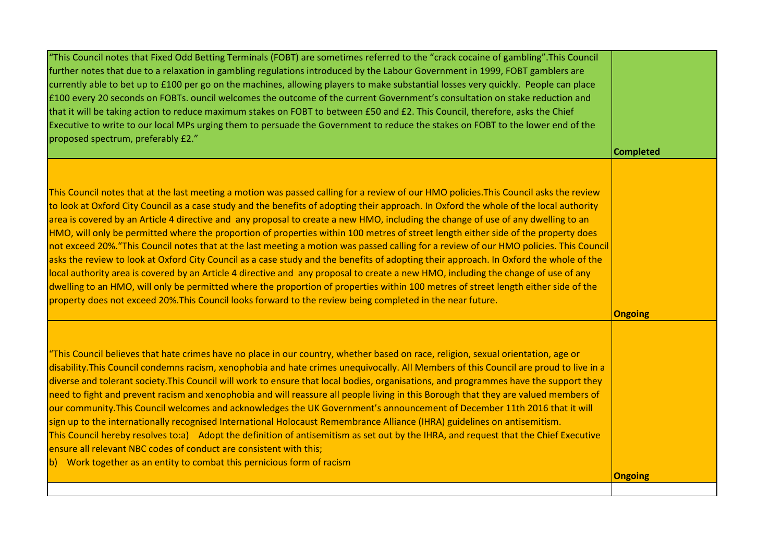| "This Council notes that Fixed Odd Betting Terminals (FOBT) are sometimes referred to the "crack cocaine of gambling".This Council<br>further notes that due to a relaxation in gambling regulations introduced by the Labour Government in 1999, FOBT gamblers are<br>currently able to bet up to £100 per go on the machines, allowing players to make substantial losses very quickly. People can place<br>£100 every 20 seconds on FOBTs. ouncil welcomes the outcome of the current Government's consultation on stake reduction and<br>that it will be taking action to reduce maximum stakes on FOBT to between £50 and £2. This Council, therefore, asks the Chief<br>Executive to write to our local MPs urging them to persuade the Government to reduce the stakes on FOBT to the lower end of the<br>proposed spectrum, preferably £2."                                                                                                                                                                                                                                                                                                                                                                                         | <b>Completed</b> |
|---------------------------------------------------------------------------------------------------------------------------------------------------------------------------------------------------------------------------------------------------------------------------------------------------------------------------------------------------------------------------------------------------------------------------------------------------------------------------------------------------------------------------------------------------------------------------------------------------------------------------------------------------------------------------------------------------------------------------------------------------------------------------------------------------------------------------------------------------------------------------------------------------------------------------------------------------------------------------------------------------------------------------------------------------------------------------------------------------------------------------------------------------------------------------------------------------------------------------------------------|------------------|
| This Council notes that at the last meeting a motion was passed calling for a review of our HMO policies. This Council asks the review<br>to look at Oxford City Council as a case study and the benefits of adopting their approach. In Oxford the whole of the local authority<br>area is covered by an Article 4 directive and any proposal to create a new HMO, including the change of use of any dwelling to an<br>HMO, will only be permitted where the proportion of properties within 100 metres of street length either side of the property does<br>not exceed 20%. "This Council notes that at the last meeting a motion was passed calling for a review of our HMO policies. This Council<br>asks the review to look at Oxford City Council as a case study and the benefits of adopting their approach. In Oxford the whole of the<br>local authority area is covered by an Article 4 directive and any proposal to create a new HMO, including the change of use of any<br>dwelling to an HMO, will only be permitted where the proportion of properties within 100 metres of street length either side of the<br>property does not exceed 20%. This Council looks forward to the review being completed in the near future. | <b>Ongoing</b>   |
| "This Council believes that hate crimes have no place in our country, whether based on race, religion, sexual orientation, age or<br>disability. This Council condemns racism, xenophobia and hate crimes unequivocally. All Members of this Council are proud to live in a<br>diverse and tolerant society. This Council will work to ensure that local bodies, organisations, and programmes have the support they<br>need to fight and prevent racism and xenophobia and will reassure all people living in this Borough that they are valued members of<br>our community. This Council welcomes and acknowledges the UK Government's announcement of December 11th 2016 that it will<br>sign up to the internationally recognised International Holocaust Remembrance Alliance (IHRA) guidelines on antisemitism.<br>This Council hereby resolves to:a) Adopt the definition of antisemitism as set out by the IHRA, and request that the Chief Executive<br>ensure all relevant NBC codes of conduct are consistent with this;<br>b) Work together as an entity to combat this pernicious form of racism                                                                                                                               |                  |
|                                                                                                                                                                                                                                                                                                                                                                                                                                                                                                                                                                                                                                                                                                                                                                                                                                                                                                                                                                                                                                                                                                                                                                                                                                             | <b>Ongoing</b>   |